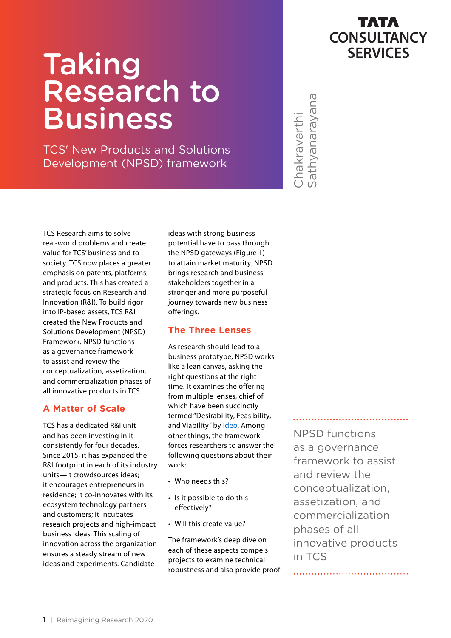# Taking Research to Business

TCS' New Products and Solutions Development (NPSD) framework



Chakravarthi<br>•athyanarayana Sathyanarayana Chakravarthi

TCS Research aims to solve real-world problems and create value for TCS' business and to society. TCS now places a greater emphasis on patents, platforms, and products. This has created a strategic focus on Research and Innovation (R&I). To build rigor into IP-based assets, TCS R&I created the New Products and Solutions Development (NPSD) Framework. NPSD functions as a governance framework to assist and review the conceptualization, assetization, and commercialization phases of all innovative products in TCS.

## **A Matter of Scale**

TCS has a dedicated R&I unit and has been investing in it consistently for four decades. Since 2015, it has expanded the R&I footprint in each of its industry units—it crowdsources ideas; it encourages entrepreneurs in residence; it co-innovates with its ecosystem technology partners and customers; it incubates research projects and high-impact business ideas. This scaling of innovation across the organization ensures a steady stream of new ideas and experiments. Candidate

ideas with strong business potential have to pass through the NPSD gateways (Figure 1) to attain market maturity. NPSD brings research and business stakeholders together in a stronger and more purposeful journey towards new business offerings.

## **The Three Lenses**

As research should lead to a business prototype, NPSD works like a lean canvas, asking the right questions at the right time. It examines the offering from multiple lenses, chief of which have been succinctly termed "Desirability, Feasibility, and Viability" by [Ideo](https://www.ideou.com/blogs/inspiration/how-to-prototype-a-new-business). Among other things, the framework forces researchers to answer the following questions about their work:

- Who needs this?
- Is it possible to do this effectively?
- Will this create value?

The framework's deep dive on each of these aspects compels projects to examine technical robustness and also provide proof

NPSD functions as a governance framework to assist and review the conceptualization, assetization, and commercialization phases of all innovative products in TCS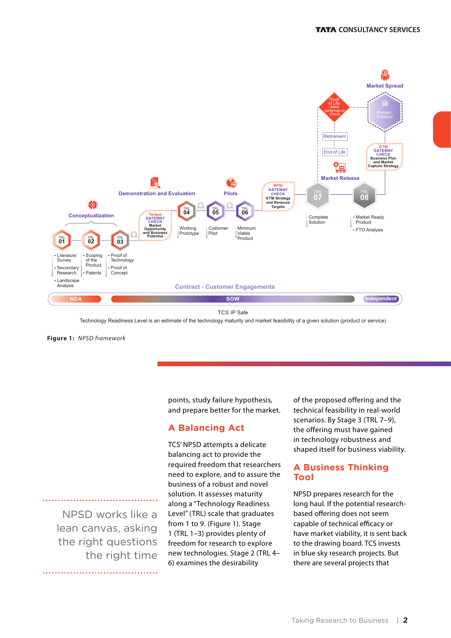

Technology Readiness Level is an estimate of the technology maturity and market feasibility of a given solution (product or service)

**Figure 1:** *NPSD framework*

points, study failure hypothesis, and prepare better for the market.

#### **A Balancing Act**

NPSD works like a lean canvas, asking the right questions the right time

TCS' NPSD attempts a delicate balancing act to provide the required freedom that researchers need to explore, and to assure the business of a robust and novel solution. It assesses maturity along a "Technology Readiness Level" (TRL) scale that graduates from 1 to 9. (Figure 1). Stage 1 (TRL 1–3) provides plenty of freedom for research to explore new technologies. Stage 2 (TRL 4– 6) examines the desirability

of the proposed offering and the technical feasibility in real-world scenarios. By Stage 3 (TRL 7–9), the offering must have gained in technology robustness and shaped itself for business viability.

#### **A Business Thinking Tool**

NPSD prepares research for the long haul. If the potential researchbased offering does not seem capable of technical efficacy or have market viability, it is sent back to the drawing board. TCS invests in blue sky research projects. But there are several projects that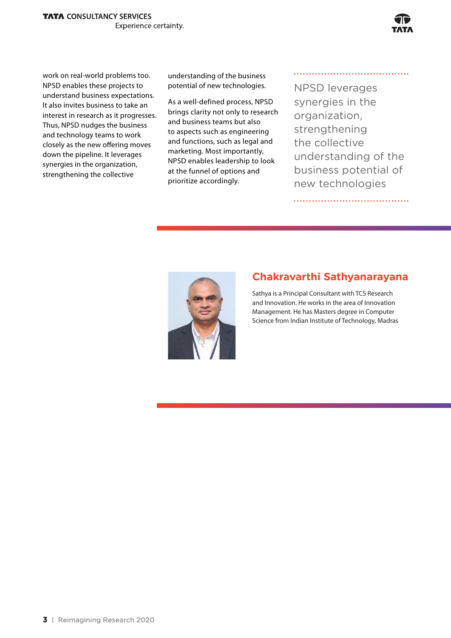

work on real-world problems too. NPSD enables these projects to understand business expectations. It also invites business to take an interest in research as it progresses. Thus, NPSD nudges the business and technology teams to work closely as the new offering moves down the pipeline. It leverages synergies in the organization, strengthening the collective

understanding of the business potential of new technologies.

As a well-defined process, NPSD brings clarity not only to research and business teams but also to aspects such as engineering and functions, such as legal and marketing. Most importantly, NPSD enables leadership to look at the funnel of options and prioritize accordingly.

NPSD leverages synergies in the organization, strengthening the collective understanding of the business potential of new technologies



# **Chakravarthi Sathyanarayana**

Sathya is a Principal Consultant with TCS Research and Innovation. He works in the area of Innovation Management. He has Masters degree in Computer Science from Indian Institute of Technology, Madras